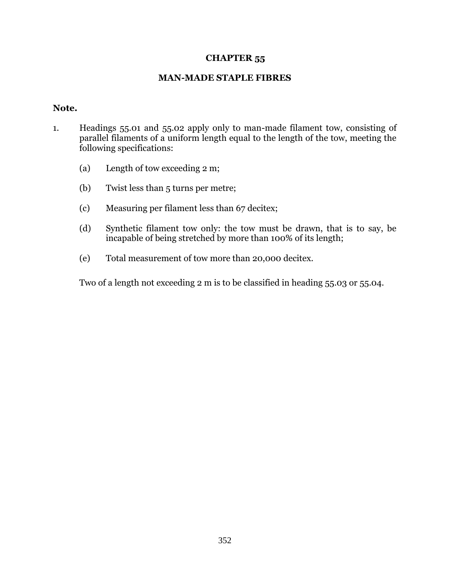## **CHAPTER 55**

## **MAN-MADE STAPLE FIBRES**

## **Note.**

- 1. Headings 55.01 and 55.02 apply only to man-made filament tow, consisting of parallel filaments of a uniform length equal to the length of the tow, meeting the following specifications:
	- (a) Length of tow exceeding 2 m;
	- (b) Twist less than 5 turns per metre;
	- (c) Measuring per filament less than 67 decitex;
	- (d) Synthetic filament tow only: the tow must be drawn, that is to say, be incapable of being stretched by more than 100% of its length;
	- (e) Total measurement of tow more than 20,000 decitex.

Two of a length not exceeding 2 m is to be classified in heading 55.03 or 55.04.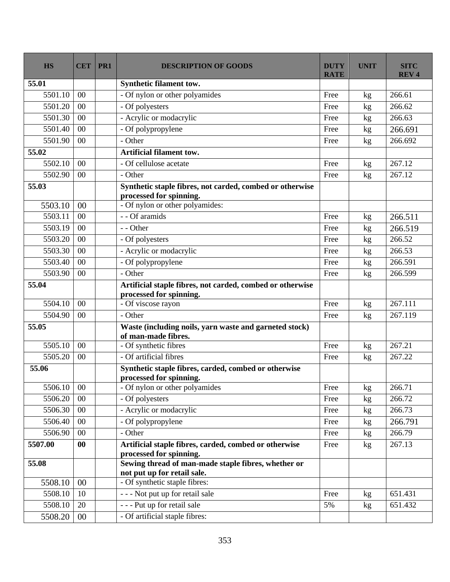| <b>HS</b> | <b>CET</b> | PR1 | <b>DESCRIPTION OF GOODS</b>                                                      | <b>DUTY</b><br><b>RATE</b> | <b>UNIT</b> | <b>SITC</b><br><b>REV4</b> |
|-----------|------------|-----|----------------------------------------------------------------------------------|----------------------------|-------------|----------------------------|
| 55.01     |            |     | <b>Synthetic filament tow.</b>                                                   |                            |             |                            |
| 5501.10   | 00         |     | - Of nylon or other polyamides                                                   | Free                       | kg          | 266.61                     |
| 5501.20   | 00         |     | - Of polyesters                                                                  | Free                       | kg          | 266.62                     |
| 5501.30   | 00         |     | - Acrylic or modacrylic                                                          | Free                       | kg          | 266.63                     |
| 5501.40   | 00         |     | - Of polypropylene                                                               | Free                       | kg          | 266.691                    |
| 5501.90   | 00         |     | - Other                                                                          | Free                       | kg          | 266.692                    |
| 55.02     |            |     | <b>Artificial filament tow.</b>                                                  |                            |             |                            |
| 5502.10   | 00         |     | - Of cellulose acetate                                                           | Free                       | kg          | 267.12                     |
| 5502.90   | 00         |     | - Other                                                                          | Free                       | kg          | 267.12                     |
| 55.03     |            |     | Synthetic staple fibres, not carded, combed or otherwise                         |                            |             |                            |
|           |            |     | processed for spinning.                                                          |                            |             |                            |
| 5503.10   | 00         |     | - Of nylon or other polyamides:                                                  |                            |             |                            |
| 5503.11   | 00         |     | - - Of aramids                                                                   | Free                       | kg          | 266.511                    |
| 5503.19   | 00         |     | - - Other                                                                        | Free                       | kg          | 266.519                    |
| 5503.20   | 00         |     | - Of polyesters                                                                  | Free                       | kg          | 266.52                     |
| 5503.30   | 00         |     | - Acrylic or modacrylic                                                          | Free                       | kg          | 266.53                     |
| 5503.40   | 00         |     | - Of polypropylene                                                               | Free                       | kg          | 266.591                    |
| 5503.90   | 00         |     | - Other                                                                          | Free                       | kg          | 266.599                    |
| 55.04     |            |     | Artificial staple fibres, not carded, combed or otherwise                        |                            |             |                            |
|           |            |     | processed for spinning.                                                          |                            |             |                            |
| 5504.10   | 00         |     | - Of viscose rayon                                                               | Free                       | kg          | 267.111                    |
| 5504.90   | 00         |     | - Other                                                                          | Free                       | kg          | 267.119                    |
| 55.05     |            |     | Waste (including noils, yarn waste and garneted stock)<br>of man-made fibres.    |                            |             |                            |
| 5505.10   | 00         |     | - Of synthetic fibres                                                            | Free                       | kg          | 267.21                     |
| 5505.20   | 00         |     | - Of artificial fibres                                                           | Free                       | kg          | 267.22                     |
| 55.06     |            |     | Synthetic staple fibres, carded, combed or otherwise<br>processed for spinning.  |                            |             |                            |
| 5506.10   | $00\,$     |     | - Of nylon or other polyamides                                                   | Free                       | kg          | 266.71                     |
| 5506.20   | $00\,$     |     | - Of polyesters                                                                  | Free                       | kg          | 266.72                     |
| 5506.30   | $00\,$     |     | - Acrylic or modacrylic                                                          | Free                       | kg          | 266.73                     |
| 5506.40   | $00\,$     |     | - Of polypropylene                                                               | Free                       | kg          | 266.791                    |
| 5506.90   | 00         |     | - Other                                                                          | Free                       | kg          | 266.79                     |
| 5507.00   | 00         |     | Artificial staple fibres, carded, combed or otherwise<br>processed for spinning. | Free                       | kg          | 267.13                     |
| 55.08     |            |     | Sewing thread of man-made staple fibres, whether or                              |                            |             |                            |
|           |            |     | not put up for retail sale.                                                      |                            |             |                            |
| 5508.10   | 00         |     | - Of synthetic staple fibres:                                                    |                            |             |                            |
| 5508.10   | 10         |     | - - - Not put up for retail sale                                                 | Free                       | kg          | 651.431                    |
| 5508.10   | 20         |     | --- Put up for retail sale                                                       | 5%                         | kg          | 651.432                    |
| 5508.20   | $00\,$     |     | - Of artificial staple fibres:                                                   |                            |             |                            |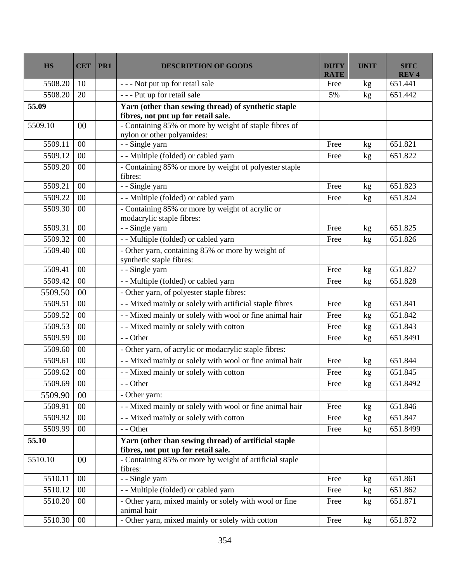| <b>HS</b> | <b>CET</b>     | PR1 | <b>DESCRIPTION OF GOODS</b>                                                                 | <b>DUTY</b><br><b>RATE</b> | <b>UNIT</b> | <b>SITC</b><br><b>REV4</b> |
|-----------|----------------|-----|---------------------------------------------------------------------------------------------|----------------------------|-------------|----------------------------|
| 5508.20   | 10             |     | - - - Not put up for retail sale                                                            | Free                       | kg          | 651.441                    |
| 5508.20   | 20             |     | - - - Put up for retail sale                                                                | 5%                         | kg          | 651.442                    |
| 55.09     |                |     | Yarn (other than sewing thread) of synthetic staple<br>fibres, not put up for retail sale.  |                            |             |                            |
| 5509.10   | 0 <sup>0</sup> |     | - Containing 85% or more by weight of staple fibres of<br>nylon or other polyamides:        |                            |             |                            |
| 5509.11   | $00\,$         |     | - - Single yarn                                                                             | Free                       | kg          | 651.821                    |
| 5509.12   | 00             |     | - - Multiple (folded) or cabled yarn                                                        | Free                       | kg          | 651.822                    |
| 5509.20   | 00             |     | - Containing 85% or more by weight of polyester staple<br>fibres:                           |                            |             |                            |
| 5509.21   | 00             |     | - - Single yarn                                                                             | Free                       | kg          | 651.823                    |
| 5509.22   | 00             |     | - - Multiple (folded) or cabled yarn                                                        | Free                       | kg          | 651.824                    |
| 5509.30   | $00\,$         |     | - Containing 85% or more by weight of acrylic or<br>modacrylic staple fibres:               |                            |             |                            |
| 5509.31   | $00\,$         |     | - - Single yarn                                                                             | Free                       | kg          | 651.825                    |
| 5509.32   | 00             |     | - - Multiple (folded) or cabled yarn                                                        | Free                       | kg          | 651.826                    |
| 5509.40   | 00             |     | - Other yarn, containing 85% or more by weight of<br>synthetic staple fibres:               |                            |             |                            |
| 5509.41   | 00             |     | - - Single yarn                                                                             | Free                       | kg          | 651.827                    |
| 5509.42   | 00             |     | -- Multiple (folded) or cabled yarn                                                         | Free                       | kg          | 651.828                    |
| 5509.50   | 00             |     | - Other yarn, of polyester staple fibres:                                                   |                            |             |                            |
| 5509.51   | 00             |     | - - Mixed mainly or solely with artificial staple fibres                                    | Free                       | kg          | 651.841                    |
| 5509.52   | 00             |     | - - Mixed mainly or solely with wool or fine animal hair                                    | Free                       | kg          | 651.842                    |
| 5509.53   | 00             |     | - - Mixed mainly or solely with cotton                                                      | Free                       | kg          | 651.843                    |
| 5509.59   | $00\,$         |     | - - Other                                                                                   | Free                       | kg          | 651.8491                   |
| 5509.60   | 00             |     | - Other yarn, of acrylic or modacrylic staple fibres:                                       |                            |             |                            |
| 5509.61   | 00             |     | - - Mixed mainly or solely with wool or fine animal hair                                    | Free                       | kg          | 651.844                    |
| 5509.62   | $00\,$         |     | - - Mixed mainly or solely with cotton                                                      | Free                       | kg          | 651.845                    |
| 5509.69   | $00\,$         |     | - - Other                                                                                   | Free                       | kg          | 651.8492                   |
| 5509.90   | 0 <sup>0</sup> |     | - Other yarn:                                                                               |                            |             |                            |
| 5509.91   | 00             |     | - - Mixed mainly or solely with wool or fine animal hair                                    | Free                       | kg          | 651.846                    |
| 5509.92   | $00\,$         |     | - - Mixed mainly or solely with cotton                                                      | Free                       | kg          | 651.847                    |
| 5509.99   | 00             |     | - - Other                                                                                   | Free                       | kg          | 651.8499                   |
| 55.10     |                |     | Yarn (other than sewing thread) of artificial staple<br>fibres, not put up for retail sale. |                            |             |                            |
| 5510.10   | 00             |     | - Containing 85% or more by weight of artificial staple<br>fibres:                          |                            |             |                            |
| 5510.11   | 00             |     | - - Single yarn                                                                             | Free                       | kg          | 651.861                    |
| 5510.12   | $00\,$         |     | - - Multiple (folded) or cabled yarn                                                        | Free                       | kg          | 651.862                    |
| 5510.20   | $00\,$         |     | - Other yarn, mixed mainly or solely with wool or fine<br>animal hair                       | Free                       | kg          | 651.871                    |
| 5510.30   | $00\,$         |     | - Other yarn, mixed mainly or solely with cotton                                            | Free                       | kg          | 651.872                    |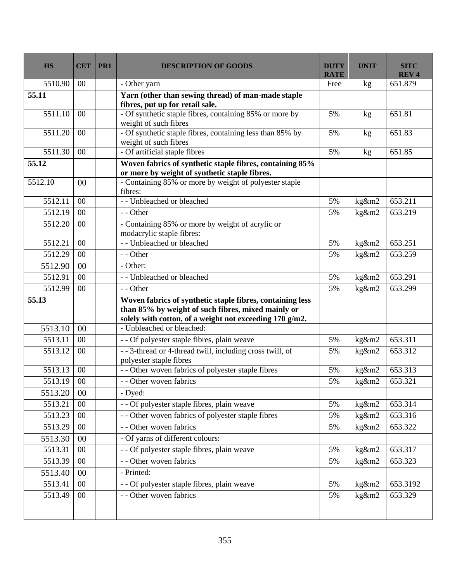| <b>HS</b> | <b>CET</b> | PR1 | <b>DESCRIPTION OF GOODS</b>                                                           | <b>DUTY</b><br><b>RATE</b> | <b>UNIT</b>                | <b>SITC</b><br><b>REV4</b> |
|-----------|------------|-----|---------------------------------------------------------------------------------------|----------------------------|----------------------------|----------------------------|
| 5510.90   | 00         |     | - Other yarn                                                                          | Free                       | kg                         | 651.879                    |
| 55.11     |            |     | Yarn (other than sewing thread) of man-made staple<br>fibres, put up for retail sale. |                            |                            |                            |
| 5511.10   | $00\,$     |     | - Of synthetic staple fibres, containing 85% or more by<br>weight of such fibres      | 5%                         | kg                         | 651.81                     |
| 5511.20   | 00         |     | - Of synthetic staple fibres, containing less than 85% by<br>weight of such fibres    | 5%                         | kg                         | 651.83                     |
| 5511.30   | $00\,$     |     | - Of artificial staple fibres                                                         | 5%                         | kg                         | 651.85                     |
| 55.12     |            |     | Woven fabrics of synthetic staple fibres, containing 85%                              |                            |                            |                            |
|           |            |     | or more by weight of synthetic staple fibres.                                         |                            |                            |                            |
| 5512.10   | 00         |     | - Containing 85% or more by weight of polyester staple<br>fibres:                     |                            |                            |                            |
| 5512.11   | 00         |     | - - Unbleached or bleached                                                            | 5%                         | kg&m2                      | 653.211                    |
| 5512.19   | 00         |     | - - Other                                                                             | 5%                         | kg&m2                      | 653.219                    |
| 5512.20   | $00\,$     |     | - Containing 85% or more by weight of acrylic or<br>modacrylic staple fibres:         |                            |                            |                            |
| 5512.21   | 00         |     | - - Unbleached or bleached                                                            | 5%                         | kg&m2                      | 653.251                    |
| 5512.29   | 00         |     | - - Other                                                                             | 5%                         | kg&m2                      | 653.259                    |
| 5512.90   | 00         |     | - Other:                                                                              |                            |                            |                            |
| 5512.91   | $00\,$     |     | - - Unbleached or bleached                                                            | 5%                         | kg&m2                      | 653.291                    |
| 5512.99   | $00\,$     |     | - - Other                                                                             | 5%                         | kg&m2                      | 653.299                    |
| 55.13     |            |     | Woven fabrics of synthetic staple fibres, containing less                             |                            |                            |                            |
|           |            |     | than 85% by weight of such fibres, mixed mainly or                                    |                            |                            |                            |
|           |            |     | solely with cotton, of a weight not exceeding 170 g/m2.                               |                            |                            |                            |
| 5513.10   | 00         |     | - Unbleached or bleached:                                                             |                            |                            |                            |
| 5513.11   | 00         |     | - - Of polyester staple fibres, plain weave                                           | 5%                         | kg&m2                      | 653.311                    |
| 5513.12   | $00\,$     |     | - - 3-thread or 4-thread twill, including cross twill, of<br>polyester staple fibres  | 5%                         | kg&m2                      | 653.312                    |
| 5513.13   | 00         |     | - - Other woven fabrics of polyester staple fibres                                    | 5%                         | kg&m2                      | 653.313                    |
| 5513.19   | $00\,$     |     | - - Other woven fabrics                                                               | 5%                         | kg&m2                      | 653.321                    |
| 5513.20   | $00\,$     |     | - Dyed:                                                                               |                            |                            |                            |
| 5513.21   | $00\,$     |     | - - Of polyester staple fibres, plain weave                                           | 5%                         | kg&m2                      | 653.314                    |
| 5513.23   | $00\,$     |     | - - Other woven fabrics of polyester staple fibres                                    | 5%                         | kg&m2                      | 653.316                    |
| 5513.29   | $00\,$     |     | - - Other woven fabrics                                                               | 5%                         | $\overline{\text{kg}}$ &m2 | 653.322                    |
| 5513.30   | 00         |     | - Of yarns of different colours:                                                      |                            |                            |                            |
| 5513.31   | $00\,$     |     | - - Of polyester staple fibres, plain weave                                           | 5%                         | kg&m2                      | 653.317                    |
| 5513.39   | $00\,$     |     | - - Other woven fabrics                                                               | 5%                         | kg&m2                      | 653.323                    |
| 5513.40   | $00\,$     |     | - Printed:                                                                            |                            |                            |                            |
| 5513.41   | 00         |     | - - Of polyester staple fibres, plain weave                                           | 5%                         | kg&m2                      | 653.3192                   |
| 5513.49   | $00\,$     |     | - - Other woven fabrics                                                               | 5%                         | kg&m2                      | 653.329                    |
|           |            |     |                                                                                       |                            |                            |                            |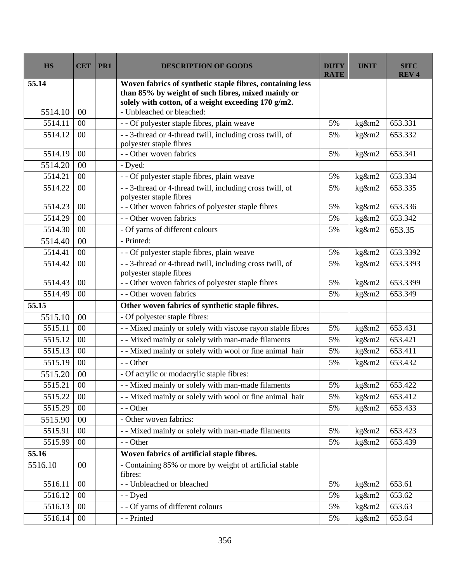| <b>HS</b> | <b>CET</b> | PR1 | <b>DESCRIPTION OF GOODS</b>                                                                                                                                            | <b>DUTY</b><br><b>RATE</b> | <b>UNIT</b> | <b>SITC</b><br><b>REV4</b> |
|-----------|------------|-----|------------------------------------------------------------------------------------------------------------------------------------------------------------------------|----------------------------|-------------|----------------------------|
| 55.14     |            |     | Woven fabrics of synthetic staple fibres, containing less<br>than 85% by weight of such fibres, mixed mainly or<br>solely with cotton, of a weight exceeding 170 g/m2. |                            |             |                            |
| 5514.10   | 00         |     | - Unbleached or bleached:                                                                                                                                              |                            |             |                            |
| 5514.11   | 00         |     | - - Of polyester staple fibres, plain weave                                                                                                                            | 5%                         | kg&m2       | 653.331                    |
| 5514.12   | 00         |     | - - 3-thread or 4-thread twill, including cross twill, of<br>polyester staple fibres                                                                                   | 5%                         | kg&m2       | 653.332                    |
| 5514.19   | 00         |     | - - Other woven fabrics                                                                                                                                                | 5%                         | kg&m2       | 653.341                    |
| 5514.20   | 00         |     | - Dyed:                                                                                                                                                                |                            |             |                            |
| 5514.21   | 00         |     | - - Of polyester staple fibres, plain weave                                                                                                                            | 5%                         | kg&m2       | 653.334                    |
| 5514.22   | 00         |     | - - 3-thread or 4-thread twill, including cross twill, of<br>polyester staple fibres                                                                                   | 5%                         | kg&m2       | 653.335                    |
| 5514.23   | 00         |     | - - Other woven fabrics of polyester staple fibres                                                                                                                     | 5%                         | kg&m2       | 653.336                    |
| 5514.29   | 00         |     | - - Other woven fabrics                                                                                                                                                | 5%                         | kg&m2       | 653.342                    |
| 5514.30   | 00         |     | - Of yarns of different colours                                                                                                                                        | 5%                         | kg&m2       | 653.35                     |
| 5514.40   | 00         |     | - Printed:                                                                                                                                                             |                            |             |                            |
| 5514.41   | 00         |     | - - Of polyester staple fibres, plain weave                                                                                                                            | 5%                         | kg&m2       | 653.3392                   |
| 5514.42   | 00         |     | --3-thread or 4-thread twill, including cross twill, of<br>polyester staple fibres                                                                                     | 5%                         | kg&m2       | 653.3393                   |
| 5514.43   | 00         |     | - - Other woven fabrics of polyester staple fibres                                                                                                                     | 5%                         | kg&m2       | 653.3399                   |
| 5514.49   | 00         |     | - - Other woven fabrics                                                                                                                                                | 5%                         | kg&m2       | 653.349                    |
| 55.15     |            |     | Other woven fabrics of synthetic staple fibres.                                                                                                                        |                            |             |                            |
| 5515.10   | 00         |     | - Of polyester staple fibres:                                                                                                                                          |                            |             |                            |
| 5515.11   | 00         |     | - - Mixed mainly or solely with viscose rayon stable fibres                                                                                                            | 5%                         | kg&m2       | 653.431                    |
| 5515.12   | 00         |     | - - Mixed mainly or solely with man-made filaments                                                                                                                     | 5%                         | kg&m2       | 653.421                    |
| 5515.13   | 00         |     | - - Mixed mainly or solely with wool or fine animal hair                                                                                                               | 5%                         | kg&m2       | 653.411                    |
| 5515.19   | 00         |     | - - Other                                                                                                                                                              | 5%                         | kg&m2       | 653.432                    |
| 5515.20   | 00         |     | - Of acrylic or modacrylic staple fibres:                                                                                                                              |                            |             |                            |
| 5515.21   | $00\,$     |     | - - Mixed mainly or solely with man-made filaments                                                                                                                     | 5%                         | kg&m2       | 653.422                    |
| 5515.22   | $00\,$     |     | - - Mixed mainly or solely with wool or fine animal hair                                                                                                               | 5%                         | kg&m2       | 653.412                    |
| 5515.29   | $00\,$     |     | - - Other                                                                                                                                                              | 5%                         | kg&m2       | 653.433                    |
| 5515.90   | 00         |     | - Other woven fabrics:                                                                                                                                                 |                            |             |                            |
| 5515.91   | 00         |     | - - Mixed mainly or solely with man-made filaments                                                                                                                     | 5%                         | kg&m2       | 653.423                    |
| 5515.99   | $00\,$     |     | - - Other                                                                                                                                                              | 5%                         | kg&m2       | 653.439                    |
| 55.16     |            |     | Woven fabrics of artificial staple fibres.                                                                                                                             |                            |             |                            |
| 5516.10   | 00         |     | - Containing 85% or more by weight of artificial stable<br>fibres:                                                                                                     |                            |             |                            |
| 5516.11   | 00         |     | - - Unbleached or bleached                                                                                                                                             | 5%                         | kg&m2       | 653.61                     |
| 5516.12   | 00         |     | - - Dyed                                                                                                                                                               | 5%                         | kg&m2       | 653.62                     |
| 5516.13   | 00         |     | - - Of yarns of different colours                                                                                                                                      | 5%                         | kg&m2       | 653.63                     |
| 5516.14   | $00\,$     |     | - - Printed                                                                                                                                                            | 5%                         | kg&m2       | 653.64                     |